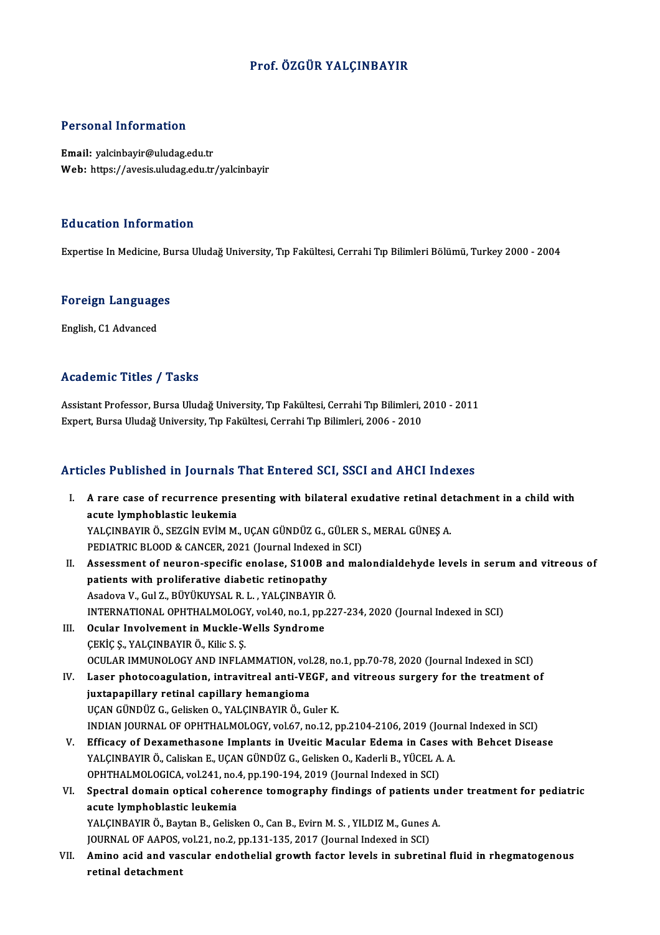#### Prof. ÖZGÜR YALÇINBAYIR

#### Personal Information

Email: yalcinbayir@uludag.edu.tr Web: https://avesis.uludag.edu.tr/yalcinbayir

#### Education Information

Expertise In Medicine, Bursa Uludağ University, Tıp Fakültesi, Cerrahi Tıp Bilimleri Bölümü, Turkey 2000 - 2004

### experuse in medicine, Bu<br>Foreign Languages <mark>Foreign Language</mark><br>English, C1 Advanced

## English, C1 Advanced<br>Academic Titles / Tasks

Academic Titles / Tasks<br>Assistant Professor, Bursa Uludağ University, Tıp Fakültesi, Cerrahi Tıp Bilimleri, 2010 - 2011<br>Evnett Bursa Uludağ University, Tıp Fakültesi, Cerrahi Tıp Bilimleri, 2006 - 2010 ITCAACIIIIC ITCICO 7 TABIR<br>Assistant Professor, Bursa Uludağ University, Tıp Fakültesi, Cerrahi Tıp Bilimleri, .<br>Expert, Bursa Uludağ University, Tıp Fakültesi, Cerrahi Tıp Bilimleri, 2006 - 2010

## Expert, Bursa Uludağ University, Tıp Fakültesi, Cerrahi Tıp Bilimleri, 2006 - 2010<br>Articles Published in Journals That Entered SCI, SSCI and AHCI Indexes

- rticles Published in Journals That Entered SCI, SSCI and AHCI Indexes<br>I. A rare case of recurrence presenting with bilateral exudative retinal detachment in a child with<br>agute lumpheblastic leukemie A rare case of recurrence pre<br>acute lymphoblastic leukemia<br>VALCINRAVIR Ö, SEZCİN EVİM M A rare case of recurrence presenting with bilateral exudative retinal de<br>acute lymphoblastic leukemia<br>YALÇINBAYIR Ö., SEZGİN EVİM M., UÇAN GÜNDÜZ G., GÜLER S., MERAL GÜNEŞ A.<br>PEDIATRIC PLOOD & CANCER 2021 (Jaurnal Indeved acute lymphoblastic leukemia<br>YALÇINBAYIR Ö., SEZGİN EVİM M., UÇAN GÜNDÜZ G., GÜLER S<br>PEDIATRIC BLOOD & CANCER, 2021 (Journal Indexed in SCI)<br>Assessment of neuven spesifis enelese, 81.00B and mel YALÇINBAYIR Ö., SEZGİN EVİM M., UÇAN GÜNDÜZ G., GÜLER S., MERAL GÜNEŞ A.<br>PEDIATRIC BLOOD & CANCER, 2021 (Journal Indexed in SCI)<br>II. Assessment of neuron-specific enolase, S100B and malondialdehyde levels in serum and vitr PEDIATRIC BLOOD & CANCER, 2021 (Journal Indexed<br>Assessment of neuron-specific enolase, S100B a<br>patients with proliferative diabetic retinopathy<br>Assessment Culti Pitylivive at P. L. VALCNBAVID &
- Assessment of neuron-specific enolase, S100B an<br>patients with proliferative diabetic retinopathy<br>Asadova V., Gul Z., BÜYÜKUYSAL R. L. , YALÇINBAYIR Ö.<br>INTERNATIONAL OPHTHALMOLOCY .val 40 no 1 nn 33 patients with proliferative diabetic retinopathy<br>Asadova V., Gul Z., BÜYÜKUYSAL R. L. , YALÇINBAYIR Ö.<br>INTERNATIONAL OPHTHALMOLOGY, vol.40, no.1, pp.227-234, 2020 (Journal Indexed in SCI)<br>Qaylar Involvement in Muskle Welks Asadova V., Gul Z., BÜYÜKUYSAL R. L. , YALÇINBAYIR<br>INTERNATIONAL OPHTHALMOLOGY, vol.40, no.1, pp.<br>III. Ocular Involvement in Muckle-Wells Syndrome
- INTERNATIONAL OPHTHALMOLOG<br>Ocular Involvement in Muckle-V<br>ÇEKİÇ Ş., YALÇINBAYIR Ö., Kilic S. Ş.<br>OCULAR IMMUNOLOCY AND INELA Ocular Involvement in Muckle-Wells Syndrome<br>ÇEKİÇ Ş., YALÇINBAYIR Ö., Kilic S. Ş.<br>OCULAR IMMUNOLOGY AND INFLAMMATION, vol.28, no.1, pp.70-78, 2020 (Journal Indexed in SCI)<br>Leser phatasassylation, intrevitreel anti VECE, an CEKIC S., YALCINBAYIR Ö., Kilic S. S.<br>OCULAR IMMUNOLOGY AND INFLAMMATION, vol.28, no.1, pp.70-78, 2020 (Journal Indexed in SCI)<br>IV. Laser photocoagulation, intravitreal anti-VEGF, and vitreous surgery for the treatment of<br>
- OCULAR IMMUNOLOGY AND INFLAMMATION, vol<br>Laser photocoagulation, intravitreal anti-VE<br>juxtapapillary retinal capillary hemangioma<br>UCAN CÜNDÜZ C. Coliskop O. VALGINBAVIB Ö. C. UÇAN GÜNDÜZ G., Gelisken O., YALÇINBAYIR Ö., Guler K. INDIANJOURNALOFOPHTHALMOLOGY,vol.67,no.12,pp.2104-2106,2019 (Journal Indexed inSCI)
- V. Efficacy of Dexamethasone Implants in Uveitic Macular Edema in Cases with Behcet Disease INDIAN JOURNAL OF OPHTHALMOLOGY, vol.67, no.12, pp.2104-2106, 2019 (Journ<br>Efficacy of Dexamethasone Implants in Uveitic Macular Edema in Cases w<br>YALÇINBAYIR Ö., Caliskan E., UÇAN GÜNDÜZ G., Gelisken O., Kaderli B., YÜCEL A Efficacy of Dexamethasone Implants in Uveitic Macular Edema in Case<br>YALÇINBAYIR Ö., Caliskan E., UÇAN GÜNDÜZ G., Gelisken O., Kaderli B., YÜCEL A<br>OPHTHALMOLOGICA, vol.241, no.4, pp.190-194, 2019 (Journal Indexed in SCI)<br>Sp
- OPHTHALMOLOGICA, vol.241, no.4, pp.190-194, 2019 (Journal Indexed in SCI)<br>VI. Spectral domain optical coherence tomography findings of patients under treatment for pediatric acute lymphoblastic leukemia Spectral domain optical coherence tomography findings of patients un<br>acute lymphoblastic leukemia<br>YALÇINBAYIR Ö., Baytan B., Gelisken O., Can B., Evirn M. S. , YILDIZ M., Gunes A.<br>JOURNAL OF AAROS vel 21, no 2, nn 121, 125 acute lymphoblastic leukemia<br>YALÇINBAYIR Ö., Baytan B., Gelisken O., Can B., Evirn M. S. , YILDIZ M., Gunes<br>JOURNAL OF AAPOS, vol.21, no.2, pp.131-135, 2017 (Journal Indexed in SCI)<br>Amine esid and vessular andatholial srou

YALÇINBAYIR Ö., Baytan B., Gelisken O., Can B., Evirn M. S. , YILDIZ M., Gunes A.<br>JOURNAL OF AAPOS, vol.21, no.2, pp.131-135, 2017 (Journal Indexed in SCI)<br>VII. Amino acid and vascular endothelial growth factor levels JOURNAL OF AAPOS,<br><mark>Amino acid and va:</mark><br>retinal detachment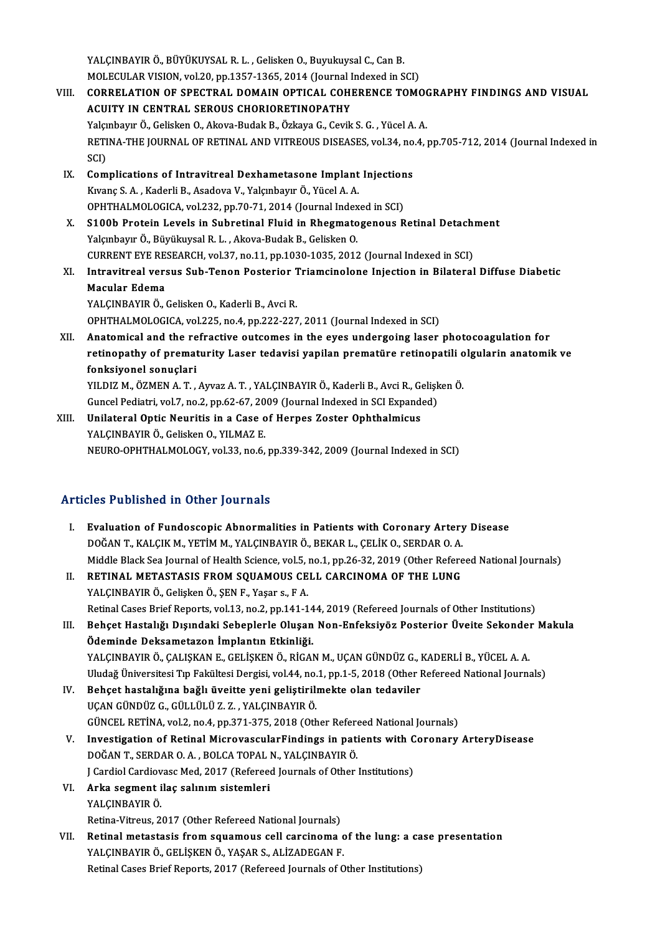YALÇINBAYIR Ö., BÜYÜKUYSAL R. L., Gelisken O., Buyukuysal C., Can B. YALÇINBAYIR Ö., BÜYÜKUYSAL R. L. , Gelisken O., Buyukuysal C., Can B.<br>MOLECULAR VISION, vol.20, pp.1357-1365, 2014 (Journal Indexed in SCI)<br>CORRELATION OF SREGTRAL DOMAIN ORTICAL COUERENCE TOMA

- VIII. CORRELATION OF SPECTRAL DOMAIN OPTICAL COHERENCE TOMOGRAPHY FINDINGS AND VISUAL<br>ACUITY IN CENTRAL SEROUS CHORIORETINOPATHY MOLECULAR VISION, vol.20, pp.1357-1365, 2014 (Journal I<br>CORRELATION OF SPECTRAL DOMAIN OPTICAL COHI<br>ACUITY IN CENTRAL SEROUS CHORIORETINOPATHY<br>Volumbour Ö. Coligion O. Altara Budak B. Özkara G. Carik Yalçınbayır Ö., Gelisken O., Akova-Budak B., Özkaya G., Cevik S. G., Yücel A. A. ACUITY IN CENTRAL SEROUS CHORIORETINOPATHY<br>Yalçınbayır Ö., Gelisken O., Akova-Budak B., Özkaya G., Cevik S. G. , Yücel A. A.<br>RETINA-THE JOURNAL OF RETINAL AND VITREOUS DISEASES, vol.34, no.4, pp.705-712, 2014 (Journal Inde Yalçı<br>RETI<br>SCI)<br>Cam RETINA-THE JOURNAL OF RETINAL AND VITREOUS DISEASES, vol.34, no<br>SCI)<br>IX. Complications of Intravitreal Dexhametasone Implant Injections<br>Expans S.A. Enderli B. Asadova V. Volembour Ö. Vüsal A.A.
	- SCI)<br>IX. Complications of Intravitreal Dexhametasone Implant Injections<br>Kivanç S.A., Kaderli B., Asadova V., Yalçınbayır Ö., Yücel A.A. OPHTHALMOLOGICA, vol.232, pp.70-71, 2014 (Journal Indexed in SCI) Kıvanç S. A. , Kaderli B., Asadova V., Yalçınbayır Ö., Yücel A. A.<br>OPHTHALMOLOGICA, vol.232, pp.70-71, 2014 (Journal Indexed in SCI)<br>X. S100b Protein Levels in Subretinal Fluid in Rhegmatogenous Retinal Detachment<br>Volambay

Yalçınbayır Ö., Büyükuysal R. L. , Akova-Budak B., Gelisken O.<br>CURRENT EYE RESEARCH, vol.37, no.11, pp.1030-1035, 2012 (Journal Indexed in SCI) S100b Protein Levels in Subretinal Fluid in Rhegmatogenous Retinal Detach<br>Yalçınbayır Ö., Büyükuysal R. L. , Akova-Budak B., Gelisken O.<br>CURRENT EYE RESEARCH, vol.37, no.11, pp.1030-1035, 2012 (Journal Indexed in SCI)<br>Intr Yalçınbayır Ö., Büyükuysal R. L. , Akova-Budak B., Gelisken O.<br>CURRENT EYE RESEARCH, vol.37, no.11, pp.1030-1035, 2012 (Journal Indexed in SCI)<br>XI. Intravitreal versus Sub-Tenon Posterior Triamcinolone Injection in Bil

CURRENT EYE RE<br>Intravitreal ver:<br>Macular Edema<br>YALCINPAVIP Ö Intravitreal versus Sub-Tenon Posterior 1<br>Macular Edema<br>YALÇINBAYIR Ö., Gelisken O., Kaderli B., Avci R.<br>OPHTHALMOLOCICA vel 225 no 4 nn 222 223 Macular Edema<br>YALÇINBAYIR Ö., Gelisken O., Kaderli B., Avci R.<br>OPHTHALMOLOGICA, vol.225, no.4, pp.222-227, 2011 (Journal Indexed in SCI)

XII. Anatomical and the refractive outcomes in the eyes undergoing laser photocoagulation for OPHTHALMOLOGICA, vol.225, no.4, pp.222-227, 2011 (Journal Indexed in SCI)<br>Anatomical and the refractive outcomes in the eyes undergoing laser photocoagulation for<br>retinopathy of prematurity Laser tedavisi yapilan prematüre Anatomical and the re<br>retinopathy of premat<br>fonksiyonel sonuçlari<br><sup>VII DIZ</sup> M. ÖZMEN A.T retinopathy of prematurity Laser tedavisi yapilan prematüre retinopatili o<br>fonksiyonel sonuçlari<br>YILDIZ M., ÖZMEN A.T. , Ayvaz A.T. , YALÇINBAYIR Ö., Kaderli B., Avci R., Gelişken Ö.<br>Cuncel Bediatri vel 7, no.2, np.62, 67,

fonksiyonel sonuçlari<br>YILDIZ M., ÖZMEN A. T. , Ayvaz A. T. , YALÇINBAYIR Ö., Kaderli B., Avci R., Gelişken Ö.<br>Guncel Pediatri, vol.7, no.2, pp.62-67, 2009 (Journal Indexed in SCI Expanded) YILDIZ M., ÖZMEN A. T. , Ayvaz A. T. , YALÇINBAYIR Ö., Kaderli B., Avci R., G. Guncel Pediatri, vol.7, no.2, pp.62-67, 2009 (Journal Indexed in SCI Expand<br>XIII. Unilateral Optic Neuritis in a Case of Herpes Zoster Ophthalm

Guncel Pediatri, vol.7, no.2, pp.62-67, 20<br>Unilateral Optic Neuritis in a Case of<br>YALÇINBAYIR Ö., Gelisken O., YILMAZ E.<br>NEUPO OPTILALMOLOCY vol.33, no.6. YALÇINBAYIR Ö., Gelisken O., YILMAZ E.<br>NEURO-OPHTHALMOLOGY, vol.33, no.6, pp.339-342, 2009 (Journal Indexed in SCI)

#### Articles Published in Other Journals

- rticles Published in Other Journals<br>I. Evaluation of Fundoscopic Abnormalities in Patients with Coronary Artery Disease<br>DOČAN T. KALCIK M. VETIM M. VALCINPAVIR Ö. REKAR L. CELİK O. SERDAR O. A. SES 1 desisited in Other Journals<br>Evaluation of Fundoscopic Abnormalities in Patients with Coronary Artery<br>DOĞAN T., KALÇIK M., YETİM M., YALÇINBAYIR Ö., BEKAR L., ÇELİK O., SERDAR O. A.<br>Middle Plack See Journal of Health DOĞAN T., KALÇIK M., YETİM M., YALÇINBAYIR Ö., BEKAR L., ÇELİK O., SERDAR O. A.<br>Middle Black Sea Journal of Health Science, vol.5, no.1, pp.26-32, 2019 (Other Refereed National Journals) DOĞAN T., KALÇIK M., YETİM M., YALÇINBAYIR Ö., BEKAR L., ÇELİK O., SERDAR O. A.<br>Middle Black Sea Journal of Health Science, vol.5, no.1, pp.26-32, 2019 (Other Refere<br>II. RETINAL METASTASIS FROM SQUAMOUS CELL CARCINOMA OF T Middle Black Sea Journal of Health Science, vol.5, 1<br>RETINAL METASTASIS FROM SQUAMOUS CE<br>YALÇINBAYIR Ö., Gelişken Ö., ŞEN F., Yaşar s., F A.<br>Retinal Cases Brief Benerts vol.13, no.3, nn.141.1
- YALÇINBAYIR Ö., Gelişken Ö., ŞEN F., Yaşar s., F A.<br>Retinal Cases Brief Reports, vol.13, no.2, pp.141-144, 2019 (Refereed Journals of Other Institutions) YALÇINBAYIR Ö., Gelişken Ö., ŞEN F., Yaşar s., F A.<br>Retinal Cases Brief Reports, vol.13, no.2, pp.141-144, 2019 (Refereed Journals of Other Institutions)<br>III. Behçet Hastalığı Dışındaki Sebeplerle Oluşan Non-Enfeksiyöz Pos
- Retinal Cases Brief Reports, vol.13, no.2, pp.141-14<br>Behçet Hastalığı Dışındaki Sebeplerle Oluşan<br>Ödeminde Deksametazon İmplantın Etkinliği.<br>VALCINRAVIR Ö. CALISKAN E. CELİSKEN Ö. RİCAL Behçet Hastalığı Dışındaki Sebeplerle Oluşan Non-Enfeksiyöz Posterior Üveite Sekonde:<br>Ödeminde Deksametazon İmplantın Etkinliği.<br>YALÇINBAYIR Ö., ÇALIŞKAN E., GELİŞKEN Ö., RİGAN M., UÇAN GÜNDÜZ G., KADERLİ B., YÜCEL A. A.<br>U Ödeminde Deksametazon İmplantın Etkinliği.<br>YALÇINBAYIR Ö., ÇALIŞKAN E., GELİŞKEN Ö., RİGAN M., UÇAN GÜNDÜZ G., KADERLİ B., YÜCEL A. A.<br>Uludağ Üniversitesi Tıp Fakültesi Dergisi, vol.44, no.1, pp.1-5, 2018 (Other Refereed N
- YALÇINBAYIR Ö., ÇALIŞKAN E., GELİŞKEN Ö., RİGAN M., UÇAN GÜNDÜZ G., I<br>Uludağ Üniversitesi Tıp Fakültesi Dergisi, vol.44, no.1, pp.1-5, 2018 (Other I<br>IV. Behçet hastalığına bağlı üveitte yeni geliştirilmekte olan tedaviler<br> Uludağ Üniversitesi Tıp Fakültesi Dergisi, vol.44, no.<br>Behçet hastalığına bağlı üveitte yeni geliştirili<br>UÇAN GÜNDÜZ G., GÜLLÜLÜ Z. Z. , YALÇINBAYIR Ö.<br>CÜNCEL PETİNA .vol.2 no.4 np.271, 275, 2019 (Oth Behçet hastalığına bağlı üveitte yeni geliştirilmekte olan tedaviler<br>UÇAN GÜNDÜZ G., GÜLLÜLÜ Z. Z. , YALÇINBAYIR Ö.<br>GÜNCEL RETİNA, vol.2, no.4, pp.371-375, 2018 (Other Refereed National Journals)<br>Investigation of Betinel M UÇAN GÜNDÜZ G., GÜLLÜLÜ Z. Z. , YALÇINBAYIR Ö.<br>GÜNCEL RETİNA, vol.2, no.4, pp.371-375, 2018 (Other Refereed National Journals)<br>V. Investigation of Retinal MicrovascularFindings in patients with Coronary ArteryDisease<br>D
- GÜNCEL RETİNA, vol.2, no.4, pp.371-375, 2018 (Other Refere<br>Investigation of Retinal MicrovascularFindings in pati<br>DOĞAN T., SERDAR O.A., BOLCA TOPAL N., YALÇINBAYIR Ö. Investigation of Retinal MicrovascularFindings in patients with C<br>DOĞAN T., SERDAR O. A. , BOLCA TOPAL N., YALÇINBAYIR Ö.<br>J Cardiol Cardiovasc Med, 2017 (Refereed Journals of Other Institutions)<br>Arka sesment iles selinum s
- VI. Arka segment ilaç salınım sistemleri<br>YALCINBAYIR Ö. J Cardiol Cardiov<br><mark>Arka segment i</mark><br>YALÇINBAYIR Ö.<br><sup>Ratina Vitrava <sup>2</sup></sup> Retina-Vitreus, 2017 (Other Refereed National Journals)
- YALÇINBAYIR Ö.<br>Retina-Vitreus, 2017 (Other Refereed National Journals)<br>VII. Retinal metastasis from squamous cell carcinoma of the lung: a case presentation<br>VALCINBAYIR Ö. CELİSKEN Ö. VASAR S. ALİZARECAN E Retina-Vitreus, 2017 (Other Refereed National Journals)<br>Retinal metastasis from squamous cell carcinoma c<br>YALÇINBAYIR Ö., GELİŞKEN Ö., YAŞAR S., ALİZADEGAN F.<br>Retinal Casse Prief Benerts, 2017 (Refereed Journals of C Retinal metastasis from squamous cell carcinoma of the lung: a ca<br>YALÇINBAYIR Ö., GELİŞKEN Ö., YAŞAR S., ALİZADEGAN F.<br>Retinal Cases Brief Reports, 2017 (Refereed Journals of Other Institutions)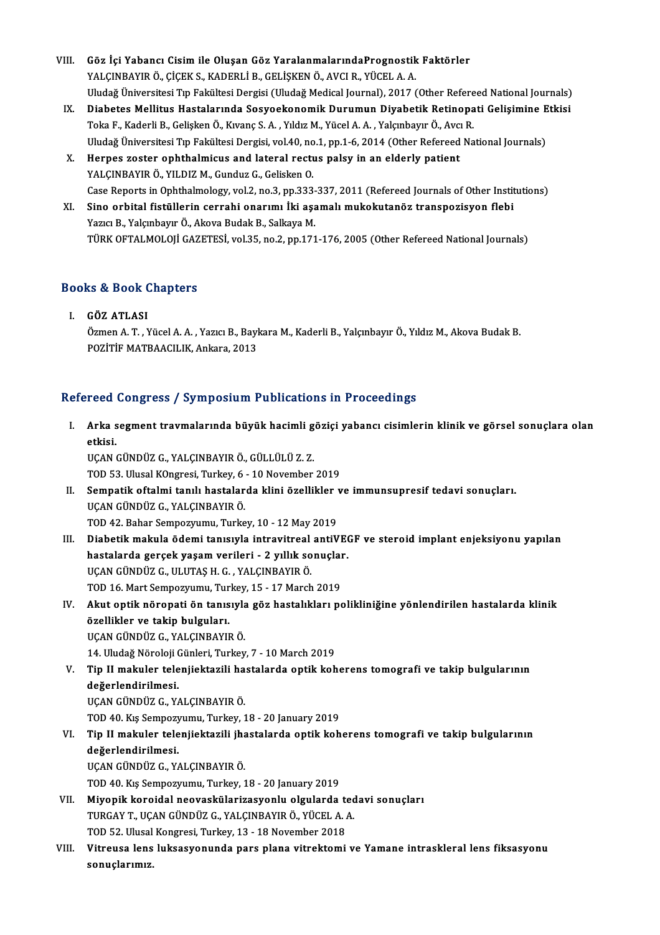- VIII. Göz İçi Yabancı Cisim ile Oluşan Göz YaralanmalarındaPrognostik Faktörler<br>VALCINPAVIR Ö CİCEKS KADERLİ R CELİSKEN Ö AVÇLR YÜCELA A Göz İçi Yabancı Cisim ile Oluşan Göz YaralanmalarındaPrognostik<br>YALÇINBAYIR Ö., ÇİÇEK S., KADERLİ B., GELİŞKEN Ö., AVCI R., YÜCEL A. A.<br>Uludeğ Üniversitesi Eın Fakültesi Dergisi (Uludeğ Medisel Jeurnal), 2017 ( Göz İçi Yabancı Cisim ile Oluşan Göz YaralanmalarındaPrognostik Faktörler<br>YALÇINBAYIR Ö., ÇİÇEK S., KADERLİ B., GELİŞKEN Ö., AVCI R., YÜCEL A. A.<br>Uludağ Üniversitesi Tıp Fakültesi Dergisi (Uludağ Medical Journal), 2017 (Ot YALÇINBAYIR Ö., ÇİÇEK S., KADERLİ B., GELİŞKEN Ö., AVCI R., YÜCEL A. A.<br>Uludağ Üniversitesi Tıp Fakültesi Dergisi (Uludağ Medical Journal), 2017 (Other Refereed National Journals)<br>IX. Diabetes Mellitus Hastalarında Sosyoek
- Uludağ Üniversitesi Tıp Fakültesi Dergisi (Uludağ Medical Journal), 2017 (Other Refere<br>Diabetes Mellitus Hastalarında Sosyoekonomik Durumun Diyabetik Retinopa<br>Toka F., Kaderli B., Gelişken Ö., Kıvanç S.A. , Yıldız M., Yüce Diabetes Mellitus Hastalarında Sosyoekonomik Durumun Diyabetik Retinopati Gelişimine E<br>Toka F., Kaderli B., Gelişken Ö., Kıvanç S. A. , Yıldız M., Yücel A. A. , Yalçınbayır Ö., Avcı R.<br>Uludağ Üniversitesi Tıp Fakültesi Der Toka F., Kaderli B., Gelişken Ö., Kıvanç S. A. , Yıldız M., Yücel A. A. , Yalçınbayır Ö., Avcı<br>Uludağ Üniversitesi Tıp Fakültesi Dergisi, vol.40, no.1, pp.1-6, 2014 (Other Refereed<br>X. Herpes zoster ophthalmicus and lateral
- Uludağ Üniversitesi Tıp Fakültesi Dergisi, vol.40, no<br>Herpes zoster ophthalmicus and lateral rectu<br>YALÇINBAYIR Ö., YILDIZ M., Gunduz G., Gelisken O.<br>Case Benerts in Ophthalmalegy vol.2, no.2, np.323 YALÇINBAYIR Ö., YILDIZ M., Gunduz G., Gelisken O.<br>Case Reports in Ophthalmology, vol.2, no.3, pp.333-337, 2011 (Refereed Journals of Other Institutions) YALÇINBAYIR Ö., YILDIZ M., Gunduz G., Gelisken O.<br>Case Reports in Ophthalmology, vol.2, no.3, pp.333-337, 2011 (Refereed Journals of Other Instit<br>XI. Sino orbital fistüllerin cerrahi onarımı İki aşamalı mukokutanöz transpo
- Case Reports in Ophthalmology, vol.2, no.3, pp.333-<br>Sino orbital fistüllerin cerrahi onarımı İki aşa<br>Yazıcı B., Yalçınbayır Ö., Akova Budak B., Salkaya M.<br>TÜRK OFTALMOLOU GAZETESİ vol.25 no.2, nn.171 Sino orbital fistüllerin cerrahi onarımı İki aşamalı mukokutanöz transpozisyon flebi<br>Yazıcı B., Yalçınbayır Ö., Akova Budak B., Salkaya M.<br>TÜRK OFTALMOLOJİ GAZETESİ, vol.35, no.2, pp.171-176, 2005 (Other Refereed National

### 10kk of TALMOLOJI GAZ<br>Books & Book Chapters ooks & Book (<br>I. GÖZ ATLASI<br>Ömen A T. V

tə & Bəəsr Ənapters<br>GÖZ ATLASI<br>Özmen A. T. , Yücel A. A. , Yazıcı B., Baykara M., Kaderli B., Yalçınbayır Ö., Yıldız M., Akova Budak B.<br>ROZİTİE MATRAAÇU IK. Ankana 2013 GÖZ ATLASI<br>Özmen A. T. , Yücel A. A. , Yazıcı B., Bayl<br>POZİTİF MATBAACILIK, Ankara, 2013

# POZITIF MATBAACILIK, Ankara, 2013<br>Refereed Congress / Symposium Publications in Proceedings

efereed Congress / Symposium Publications in Proceedings<br>I. Arka segment travmalarında büyük hacimli göziçi yabancı cisimlerin klinik ve görsel sonuçlara olan<br>Atkisi reed<br>Arka s<br>etkisi. etkisi.<br>UÇAN GÜNDÜZ G., YALÇINBAYIR Ö., GÜLLÜLÜ Z. Z.

TOD53.UlusalKOngresi,Turkey,6 -10November 2019

- UÇAN GÜNDÜZ G., YALÇINBAYIR Ö., GÜLLÜLÜ Z. Z.<br>TOD 53. Ulusal KOngresi, Turkey, 6 10 November 2019<br>II. Sempatik oftalmi tanılı hastalarda klini özellikler ve immunsupresif tedavi sonuçları.<br>UCAN CÜNDÜZ C. YALGNRAYIR Ö. TOD 53. Ulusal KOngresi, Turkey, 6<br>Sempatik oftalmi tanılı hastalar<br>UÇAN GÜNDÜZ G., YALÇINBAYIR Ö.<br>TOD 42. Pehar Semperrumu, Turke Sempatik oftalmi tanılı hastalarda klini özellikler<br>UÇAN GÜNDÜZ G., YALÇINBAYIR Ö.<br>TOD 42. Bahar Sempozyumu, Turkey, 10 - 12 May 2019<br>Dishatik makula ödemi tanısıyla intravitrasl antiV
- UÇAN GÜNDÜZ G., YALÇINBAYIR Ö.<br>TOD 42. Bahar Sempozyumu, Turkey, 10 12 May 2019<br>III. Diabetik makula ödemi tanısıyla intravitreal antiVEGF ve steroid implant enjeksiyonu yapılan<br> bostelarda sareek yasam yarilari TOD 42. Bahar Sempozyumu, Turkey, 10 - 12 May 2019<br>Diabetik makula ödemi tanısıyla intravitreal antiVE(<br>hastalarda gerçek yaşam verileri - 2 yıllık sonuçlar.<br>UCAN CÜNDÜZ C. ULUTAS H.C., XALCNRAYIR Ö Diabetik makula ödemi tanısıyla intravitreal<br>hastalarda gerçek yaşam verileri - 2 yıllık so<br>UÇAN GÜNDÜZ G., ULUTAŞ H. G. , YALÇINBAYIR Ö.<br>TOD 16 Mart Samparrumu Turkay 15, 17 March hastalarda gerçek yaşam verileri - 2 yıllık sonuçlaı<br>UÇAN GÜNDÜZ G., ULUTAŞ H. G. , YALÇINBAYIR Ö.<br>TOD 16. Mart Sempozyumu, Turkey, 15 - 17 March 2019<br>Alut ontik pönopoti ön tanısıyla göz hastalıkları pe UÇAN GÜNDÜZ G., ULUTAŞ H. G. , YALÇINBAYIR Ö.<br>TOD 16. Mart Sempozyumu, Turkey, 15 - 17 March 2019<br>IV. Akut optik nöropati ön tanısıyla göz hastalıkları polikliniğine yönlendirilen hastalarda klinik<br>özellikler ve takip
- TOD 16. Mart Sempozyumu, Tur<br>Akut optik nöropati ön tanıs<br>özellikler ve takip bulguları.<br>UCAN CÜNDÜZ C. XALCINPAYU UÇANGÜNDÜZG.,YALÇINBAYIRÖ. özellikler ve takip bulguları.<br>UÇAN GÜNDÜZ G., YALÇINBAYIR Ö.<br>14. Uludağ Nöroloji Günleri, Turkey, 7 - 10 March 2019<br>Tin II makular talanijaktarili bastalarda antik kab

- UÇAN GÜNDÜZ G., YALÇINBAYIR Ö.<br>14. Uludağ Nöroloji Günleri, Turkey, 7 10 March 2019<br>V. Tip II makuler telenjiektazili hastalarda optik koherens tomografi ve takip bulgularının<br>dağarlandirilmesi 14. Uludağ Nöroloji (<br>Tip II makuler tele<br>değerlendirilmesi.<br>UCAN CÜNDÜZ C. Y Tip II makuler telenjiektazili ha<br>değerlendirilmesi.<br>UÇAN GÜNDÜZ G., YALÇINBAYIR Ö.<br>TOD 40. Ku Semnezunumu Turkey 1 değerlendirilmesi.<br>UÇAN GÜNDÜZ G., YALÇINBAYIR Ö.<br>TOD 40. Kış Sempozyumu, Turkey, 18 - 20 January 2019
	-

### UÇAN GÜNDÜZ G., YALÇINBAYIR Ö.<br>TOD 40. Kış Sempozyumu, Turkey, 18 - 20 January 2019<br>VI. Tip II makuler telenjiektazili jhastalarda optik koherens tomografi ve takip bulgularının<br>doğarlandirilmesi TOD 40. Kış Sempozy<br>Tip II makuler tele<br>değerlendirilmesi.<br>UCAN CÜNDÜZ C. Y Tip II makuler telenjiektazili jha<br>değerlendirilmesi.<br>UÇAN GÜNDÜZ G., YALÇINBAYIR Ö.<br>TOD 40. Ku Semnezzumu Turkey 1 değerlendirilmesi.<br>UÇAN GÜNDÜZ G., YALÇINBAYIR Ö.<br>TOD 40. Kış Sempozyumu, Turkey, 18 - 20 January 2019

- VII. Miyopik koroidal neovaskülarizasyonlu olgularda tedavi sonuçları TOD 40. Kış Sempozyumu, Turkey, 18 - 20 January 2019<br>Miyopik koroidal neovaskülarizasyonlu olgularda tec<br>TURGAY T., UÇAN GÜNDÜZ G., YALÇINBAYIR Ö., YÜCEL A. A.<br>TOD 52. Ulusel Konsussi Turkey, 12., 18 Nevember 2018 Miyopik koroidal neovaskülarizasyonlu olgularda t<br>TURGAY T., UÇAN GÜNDÜZ G., YALÇINBAYIR Ö., YÜCEL A. .<br>TOD 52. Ulusal Kongresi, Turkey, 13 - 18 November 2018<br>Witnoves lons luksesyonunda navs plana vitraktami
- TURGAY T., UÇAN GÜNDÜZ G., YALÇINBAYIR Ö., YÜCEL A. A.<br>TOD 52. Ulusal Kongresi, Turkey, 13 18 November 2018<br>VIII. Vitreusa lens luksasyonunda pars plana vitrektomi ve Yamane intraskleral lens fiksasyonu<br>conuclarumuz TOD 52. Ulusal<br>Vitreusa lens<br>sonuçlarımız.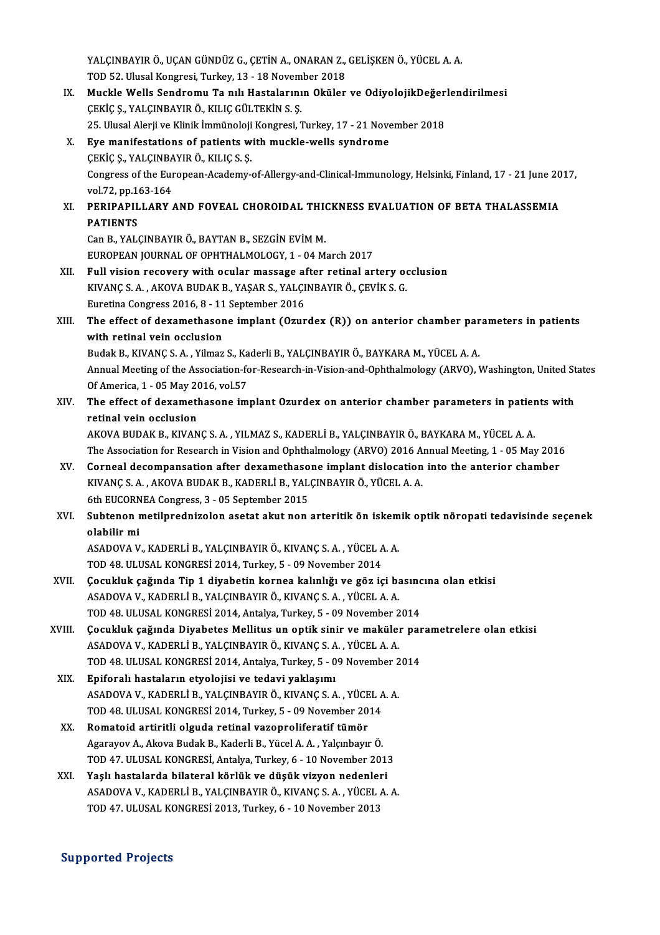YALÇINBAYIR Ö., UÇAN GÜNDÜZ G., ÇETİN A., ONARAN Z., GELİŞKEN Ö., YÜCEL A. A.<br>TOD 52. Ulusel Kangresi, Turkay, 13., 18 Navambar 2018 YALÇINBAYIR Ö., UÇAN GÜNDÜZ G., ÇETİN A., ONARAN Z.,<br>TOD 52. Ulusal Kongresi, Turkey, 13 - 18 November 2018<br>Muskla Walla Sandramu Ta pılı Hastalarının Okülar YALÇINBAYIR Ö., UÇAN GÜNDÜZ G., ÇETİN A., ONARAN Z., GELİŞKEN Ö., YÜCEL A. A.<br>TOD 52. Ulusal Kongresi, Turkey, 13 - 18 November 2018<br>IX. Muckle Wells Sendromu Ta nılı Hastalarının Oküler ve OdiyolojikDeğerlendirilmesi<br>

- TOD 52. Ulusal Kongresi, Turkey, 13 18 November 2018<br>Muckle Wells Sendromu Ta nılı Hastalarının Oküler ve OdiyolojikDeğer<br>ÇEKİÇ Ş., YALÇINBAYIR Ö., KILIÇ GÜLTEKİN S. Ş.<br>25. Ulusal Alerji ve Klinik İmmünoloji Kongresi, Tu Muckle Wells Sendromu Ta nılı Hastalarının Oküler ve OdiyolojikDeğer<br>ÇEKİÇ Ş., YALÇINBAYIR Ö., KILIÇ GÜLTEKİN S. Ş.<br>25. Ulusal Alerji ve Klinik İmmünoloji Kongresi, Turkey, 17 - 21 November 2018<br>Eve manifestations of natio X. Eye manifestations of patients with muckle-wells syndrome 25. Ulusal Alerji ve Klinik İmmünoloji<br>**Eye manifestations of patients w<br>ÇEKİÇ Ş., YALÇINBAYIR Ö., KILIÇ S. Ş.**<br>Congress of the European Asademy Congress of the European-Academy-of-Allergy-and-Clinical-Immunology, Helsinki, Finland, 17 - 21 June 2017, vol.72, pp.163-164 CEKIC S., YALCINBA<br>Congress of the Eur<br>vol.72, pp.163-164<br>RERIBARU LARY Congress of the European-Academy-of-Allergy-and-Clinical-Immunology, Helsinki, Finland, 17 - 21 June 20<br>vol.72, pp.163-164<br>XI. PERIPAPILLARY AND FOVEAL CHOROIDAL THICKNESS EVALUATION OF BETA THALASSEMIA vol.72, pp.1<br>PERIPAPIL<br>PATIENTS<br>Can P. VAL( PERIPAPILLARY AND FOVEAL CHOROIDAL THIONAL<br>PATIENTS<br>Can B., YALÇINBAYIR Ö., BAYTAN B., SEZGİN EVİM M.<br>FUROPEAN JOURNAL OF OPHTHALMOLOCY 1 - 04 M. PATIENTS<br>Can B., YALÇINBAYIR Ö., BAYTAN B., SEZGİN EVİM M.<br>EUROPEAN JOURNAL OF OPHTHALMOLOGY, 1 - 04 March 2017 Can B., YALÇINBAYIR Ö., BAYTAN B., SEZGİN EVİM M.<br>EUROPEAN JOURNAL OF OPHTHALMOLOGY, 1 - 04 March 2017<br>XII. Full vision recovery with ocular massage after retinal artery occlusion<br>KIVANC S.A., AKOVA BUDAK B. VASAR S. VALGI EUROPEAN JOURNAL OF OPHTHALMOLOGY, 1 - 04 March 2017<br>Full vision recovery with ocular massage after retinal artery ook<br>KIVANÇ S.A. , AKOVA BUDAK B., YAŞAR S., YALÇINBAYIR Ö., ÇEVİK S. G.<br>Furstina Congress 2016, 8, . 11 Sep Full vision recovery with ocular massage af<br>KIVANÇ S. A. , AKOVA BUDAK B., YAŞAR S., YALÇI<br>Euretina Congress 2016, 8 - 11 September 2016<br>The effect of devemethesene implent (Orun KIVANÇ S. A. , AKOVA BUDAK B., YAŞAR S., YALÇINBAYIR Ö., ÇEVİK S. G.<br>Euretina Congress 2016, 8 - 11 September 2016<br>XIII. The effect of dexamethasone implant (Ozurdex (R)) on anterior chamber parameters in patients<br>with Euretina Congress 2016, 8 - 11<br>The effect of dexamethasor<br>with retinal vein occlusion<br>Pudak P. KWANG S.A. Vilmar The effect of dexamethasone implant (Ozurdex (R)) on anterior chamber par<br>with retinal vein occlusion<br>Budak B., KIVANÇ S.A., Yilmaz S., Kaderli B., YALÇINBAYIR Ö., BAYKARA M., YÜCEL A.A.<br>Annual Meeting of the Association f with retinal vein occlusion<br>Budak B., KIVANÇ S. A. , Yilmaz S., Kaderli B., YALÇINBAYIR Ö., BAYKARA M., YÜCEL A. A.<br>Annual Meeting of the Association-for-Research-in-Vision-and-Ophthalmology (ARVO), Washington, United Stat Budak B., KIVANÇ S. A. , Yilmaz S., Ka<br>Annual Meeting of the Association-fo<br>Of America, 1 - 05 May 2016, vol.57<br>The effect of devemethesene im Annual Meeting of the Association-for-Research-in-Vision-and-Ophthalmology (ARVO), Washington, United St<br>Of America, 1 - 05 May 2016, vol.57<br>XIV. The effect of dexamethasone implant Ozurdex on anterior chamber parameters i Of America, 1 - 05 May 2016, vol.57<br>The effect of dexamethasone implant Ozurdex on anterior chamber parameters in patients with<br>retinal vein occlusion AKOVABUDAKB.,KIVANÇS.A. ,YILMAZ S.,KADERLİB.,YALÇINBAYIRÖ.,BAYKARAM.,YÜCELA.A. retinal vein occlusion<br>AKOVA BUDAK B., KIVANÇ S. A. , YILMAZ S., KADERLİ B., YALÇINBAYIR Ö., BAYKARA M., YÜCEL A. A.<br>The Association for Research in Vision and Ophthalmology (ARVO) 2016 Annual Meeting, 1 - 05 May 2016<br>Corn AKOVA BUDAK B., KIVANÇ S. A., YILMAZ S., KADERLİ B., YALÇINBAYIR Ö., BAYKARA M., YÜCEL A. A.<br>The Association for Research in Vision and Ophthalmology (ARVO) 2016 Annual Meeting, 1 - 05 May 2016<br>XV. Corneal decompansation a The Association for Research in Vision and Ophthalmology (ARVO) 2016 A<br>Corneal decompansation after dexamethasone implant dislocation<br>KIVANÇ S. A. , AKOVA BUDAK B., KADERLİ B., YALÇINBAYIR Ö., YÜCEL A. A.<br>6th EUCOPNEA Cong Corneal decompansation after dexamethaso<br>KIVANÇ S. A. , AKOVA BUDAK B., KADERLİ B., YAL<br>6th EUCORNEA Congress, 3 - 05 September 2015<br>Subtenen metilnadninalen asetet akut nen KIVANÇ S. A. , AKOVA BUDAK B., KADERLİ B., YALÇINBAYIR Ö., YÜCEL A. A.<br>6th EUCORNEA Congress, 3 - 05 September 2015<br>XVI. Subtenon metilprednizolon asetat akut non arteritik ön iskemik optik nöropati tedavisinde seçenek 6th EUCORN<br>Subtenon<br>olabilir mi Subtenon metilprednizolon asetat akut non arteritik ön iskem<br>olabilir mi<br>ASADOVA V., KADERLİ B., YALÇINBAYIR Ö., KIVANÇ S. A. , YÜCEL A. A.<br>TOD 48 HI USAL KONCRESİ 2014 Turkay 5 – 99 Navambar 2014 olabilir mi<br>ASADOVA V., KADERLİ B., YALÇINBAYIR Ö., KIVANÇ S. A. , YÜCEL A. A.<br>TOD 48. ULUSAL KONGRESİ 2014, Turkey, 5 - 09 November 2014 ASADOVA V., KADERLİ B., YALÇINBAYIR Ö., KIVANÇ S. A. , YÜCEL A. A.<br>TOD 48. ULUSAL KONGRESİ 2014, Turkey, 5 - 09 November 2014<br>XVII. Gocukluk çağında Tip 1 diyabetin kornea kalınlığı ve göz içi basıncına olan etkisi<br>ASADOVA TOD 48. ULUSAL KONGRESİ 2014, Turkey, 5 - 09 November 2014<br>Çocukluk çağında Tip 1 diyabetin kornea kalınlığı ve göz içi ba<br>ASADOVA V., KADERLİ B., YALÇINBAYIR Ö., KIVANÇ S. A. , YÜCEL A. A.<br>TOD 48. ULUSAL KONGRESİ 2014, An Çocukluk çağında Tip 1 diyabetin kornea kalınlığı ve göz içi basınc<br>ASADOVA V., KADERLİ B., YALÇINBAYIR Ö., KIVANÇ S. A. , YÜCEL A. A.<br>TOD 48. ULUSAL KONGRESİ 2014, Antalya, Turkey, 5 - 09 November 2014<br>Cosukluk sağında Di ASADOVA V., KADERLİ B., YALÇINBAYIR Ö., KIVANÇ S. A. , YÜCEL A. A.<br>TOD 48. ULUSAL KONGRESİ 2014, Antalya, Turkey, 5 - 09 November 2014<br>XVIII. Çocukluk çağında Diyabetes Mellitus un optik sinir ve maküler parametrelere TOD 48. ULUSAL KONGRESİ 2014, Antalya, Turkey, 5 - 09 November 2014 Çocukluk çağında Diyabetes Mellitus un optik sinir ve maküler par<br>ASADOVA V., KADERLİ B., YALÇINBAYIR Ö., KIVANÇ S. A. , YÜCEL A. A.<br>TOD 48. ULUSAL KONGRESİ 2014, Antalya, Turkey, 5 - 09 November 2014<br>Eniforalı hastaların ASADOVA V., KADERLİ B., YALÇINBAYIR Ö., KIVANÇ S. A<br>TOD 48. ULUSAL KONGRESİ 2014, Antalya, Turkey, 5 - 0<br>XIX. Epiforalı hastaların etyolojisi ve tedavi yaklaşımı<br>ASADOVA V. KADERLİ B. VALGINBAYIR Ö. KIVANÇ S. A TOD 48. ULUSAL KONGRESİ 2014, Antalya, Turkey, 5 - 09 November 2<br><mark>Epiforalı hastaların etyolojisi ve tedavi yaklaşımı</mark><br>ASADOVA V., KADERLİ B., YALÇINBAYIR Ö., KIVANÇ S. A. , YÜCEL A. A.<br>TOD 48. ULUSAL KONCRESİ 2014, Turkov Epiforalı hastaların etyolojisi ve tedavi yaklaşımı<br>ASADOVA V., KADERLİ B., YALÇINBAYIR Ö., KIVANÇ S. A. , YÜCEL A<br>TOD 48. ULUSAL KONGRESİ 2014, Turkey, 5 - 09 November 2014<br>Bomatoid artinitli alsuda ratinal yaşanralifarat ASADOVA V., KADERLİ B., YALÇINBAYIR Ö., KIVANÇ S. A., YÜCEL A. A.<br>TOD 48. ULUSAL KONGRESİ 2014, Turkey, 5 - 09 November 2014<br>XX. Romatoid artiritli olguda retinal vazoproliferatif tümör<br>Agarayov A., Akova Budak B., Kaderli TOD 48. ULUSAL KONGRESİ 2014, Turkey, 5 - 09 November 2014<br><mark>Romatoid artiritli olguda retinal vazoproliferatif tümör</mark><br>Agarayov A., Akova Budak B., Kaderli B., Yücel A. A. , Yalçınbayır Ö.<br>TOD 47. ULUSAL KONGRESİ Antalya Tu TOD 47. ULUSAL KONGRESİ, Antalya, Turkey, 6 - 10 November 2013
	- XXI. Yaşlı hastalarda bilateral körlük ve düşük vizyon nedenleri ASADOVAV.,KADERLİB.,YALÇINBAYIRÖ.,KIVANÇS.A. ,YÜCELA.A. TOD 47. ULUSAL KONGRESİ 2013, Turkey, 6 - 10 November 2013

#### Supported Projects